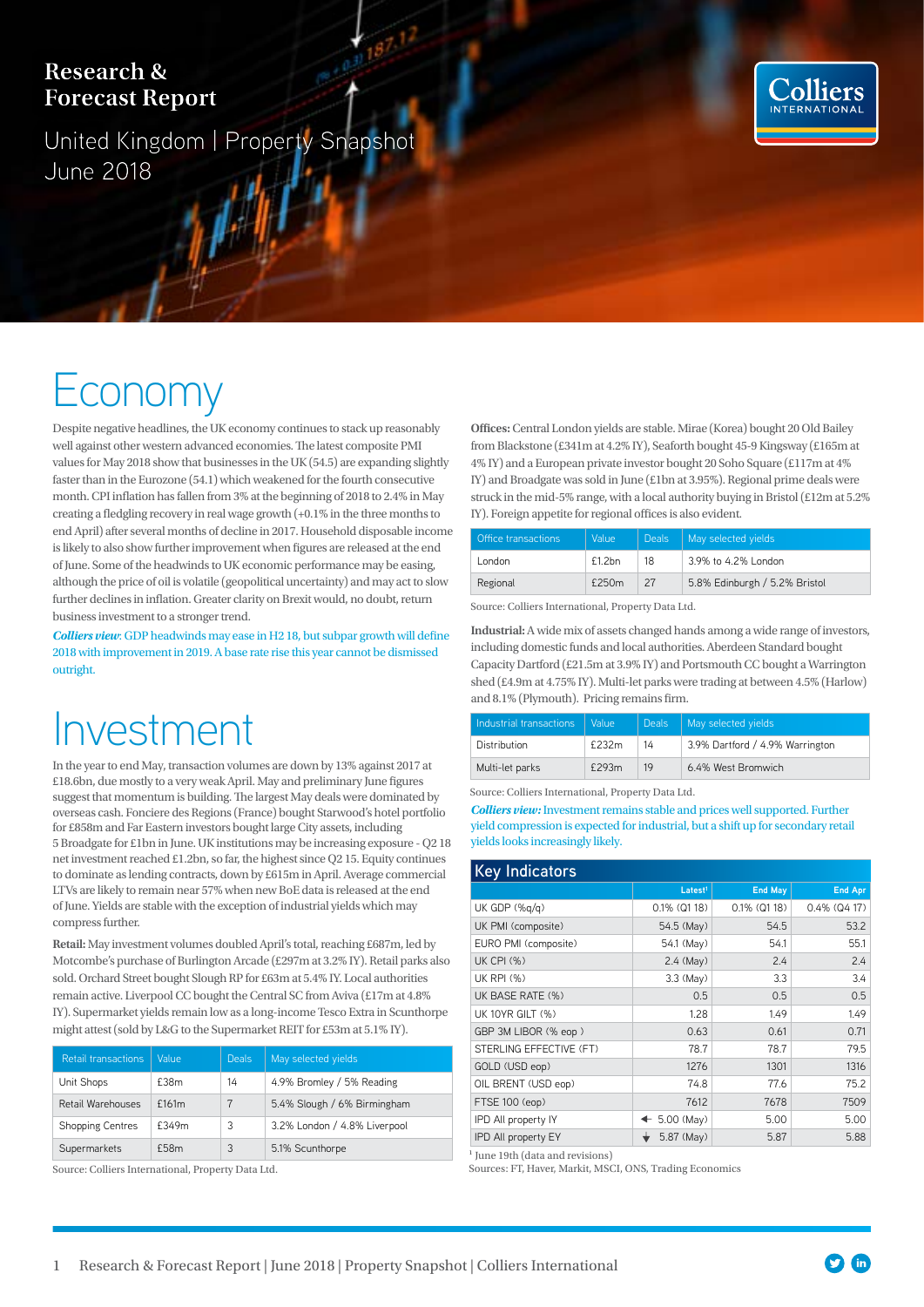### **Research & Forecast Report**

United Kingdom | Property Snapshot June 2018



# Economy

Despite negative headlines, the UK economy continues to stack up reasonably well against other western advanced economies. The latest composite PMI values for May 2018 show that businesses in the UK (54.5) are expanding slightly faster than in the Eurozone (54.1) which weakened for the fourth consecutive month. CPI inflation has fallen from 3% at the beginning of 2018 to 2.4% in May creating a fledgling recovery in real wage growth (+0.1% in the three months to end April) after several months of decline in 2017. Household disposable income is likely to also show further improvement when figures are released at the end of June. Some of the headwinds to UK economic performance may be easing, although the price of oil is volatile (geopolitical uncertainty) and may act to slow further declines in inflation. Greater clarity on Brexit would, no doubt, return business investment to a stronger trend.

*Colliers view*: GDP headwinds may ease in H2 18, but subpar growth will define 2018 with improvement in 2019. A base rate rise this year cannot be dismissed outright.

## Investment

In the year to end May, transaction volumes are down by 13% against 2017 at £18.6bn, due mostly to a very weak April. May and preliminary June figures suggest that momentum is building. The largest May deals were dominated by overseas cash. Fonciere des Regions (France) bought Starwood's hotel portfolio for £858m and Far Eastern investors bought large City assets, including 5 Broadgate for £1bn in June. UK institutions may be increasing exposure - Q2 18 net investment reached £1.2bn, so far, the highest since Q2 15. Equity continues to dominate as lending contracts, down by £615m in April. Average commercial LTVs are likely to remain near 57% when new BoE data is released at the end of June. Yields are stable with the exception of industrial yields which may compress further.

**Retail:** May investment volumes doubled April's total, reaching £687m, led by Motcombe's purchase of Burlington Arcade (£297m at 3.2% IY). Retail parks also sold. Orchard Street bought Slough RP for £63m at 5.4% IY. Local authorities remain active. Liverpool CC bought the Central SC from Aviva (£17m at 4.8% IY). Supermarket yields remain low as a long-income Tesco Extra in Scunthorpe might attest (sold by L&G to the Supermarket REIT for £53m at 5.1% IY).

|  | <b>Retail transactions</b> | Value | <b>Deals</b> | May selected yields          |  |
|--|----------------------------|-------|--------------|------------------------------|--|
|  | Unit Shops                 | £38m  | 14           | 4.9% Bromley / 5% Reading    |  |
|  | Retail Warehouses          | £161m |              | 5.4% Slough / 6% Birmingham  |  |
|  | <b>Shopping Centres</b>    | £349m | 3            | 3.2% London / 4.8% Liverpool |  |
|  | Supermarkets               | £58m  | 3            | 5.1% Scunthorpe              |  |

Source: Colliers International, Property Data Ltd.

**Offices:** Central London yields are stable. Mirae (Korea) bought 20 Old Bailey from Blackstone (£341m at 4.2% IY), Seaforth bought 45-9 Kingsway (£165m at 4% IY) and a European private investor bought 20 Soho Square (£117m at 4% IY) and Broadgate was sold in June (£1bn at 3.95%). Regional prime deals were struck in the mid-5% range, with a local authority buying in Bristol (£12m at 5.2% IY). Foreign appetite for regional offices is also evident.

| Office transactions | Value  | <b>Deals</b> | May selected yields           |
|---------------------|--------|--------------|-------------------------------|
| London              | f1.2bn | 18           | 3.9% to 4.2% London           |
| Regional            | £250m  | 27           | 5.8% Edinburgh / 5.2% Bristol |

Source: Colliers International, Property Data Ltd.

**Industrial:** A wide mix of assets changed hands among a wide range of investors, including domestic funds and local authorities. Aberdeen Standard bought Capacity Dartford (£21.5m at 3.9% IY) and Portsmouth CC bought a Warrington shed (£4.9m at 4.75% IY). Multi-let parks were trading at between 4.5% (Harlow) and 8.1% (Plymouth). Pricing remains firm.

| Industrial transactions | Value | <b>Deals</b> | May selected yields             |
|-------------------------|-------|--------------|---------------------------------|
| Distribution            | £232m | 14           | 3.9% Dartford / 4.9% Warrington |
| Multi-let parks         | £293m | 19           | 6.4% West Bromwich              |

Source: Colliers International, Property Data Ltd.

*Colliers view:* Investment remains stable and prices well supported. Further yield compression is expected for industrial, but a shift up for secondary retail yields looks increasingly likely.

| <b>Key Indicators</b>   |                     |                 |                 |  |  |  |  |  |
|-------------------------|---------------------|-----------------|-----------------|--|--|--|--|--|
|                         | Latest <sup>1</sup> | <b>End May</b>  | <b>End Apr</b>  |  |  |  |  |  |
| UK GDP $(\%q/q)$        | $0.1\%$ (Q1 18)     | $0.1\%$ (Q1 18) | $0.4\%$ (Q4 17) |  |  |  |  |  |
| UK PMI (composite)      | 54.5 (May)          | 54.5            | 53.2            |  |  |  |  |  |
| EURO PMI (composite)    | 54.1 (May)          | 54.1            | 55.1            |  |  |  |  |  |
| <b>UK CPI (%)</b>       | $2.4$ (May)         | 2.4             | 2.4             |  |  |  |  |  |
| <b>UK RPI (%)</b>       | $3.3$ (May)         | 3.3             | 3.4             |  |  |  |  |  |
| UK BASE RATE (%)        | 0.5                 | 0.5             | 0.5             |  |  |  |  |  |
| UK 10YR GILT (%)        | 1.28                | 1.49            | 1.49            |  |  |  |  |  |
| GBP 3M LIBOR (% eop)    | 0.63                | 0.61            | 0.71            |  |  |  |  |  |
| STERLING EFFECTIVE (FT) | 78.7                | 78.7            | 79.5            |  |  |  |  |  |
| GOLD (USD eop)          | 1276                | 1301            | 1316            |  |  |  |  |  |
| OIL BRENT (USD eop)     | 74.8                | 77.6            | 75.2            |  |  |  |  |  |
| FTSE 100 (eop)          | 7612                | 7678            | 7509            |  |  |  |  |  |
| IPD All property IY     | $+ 5.00$ (May)      | 5.00            | 5.00            |  |  |  |  |  |
| IPD All property EY     | 5.87 (May)          | 5.87            | 5.88            |  |  |  |  |  |

 $<sup>1</sup>$  June 19th (data and revisions)</sup>

Sources: FT, Haver, Markit, MSCI, ONS, Trading Economics